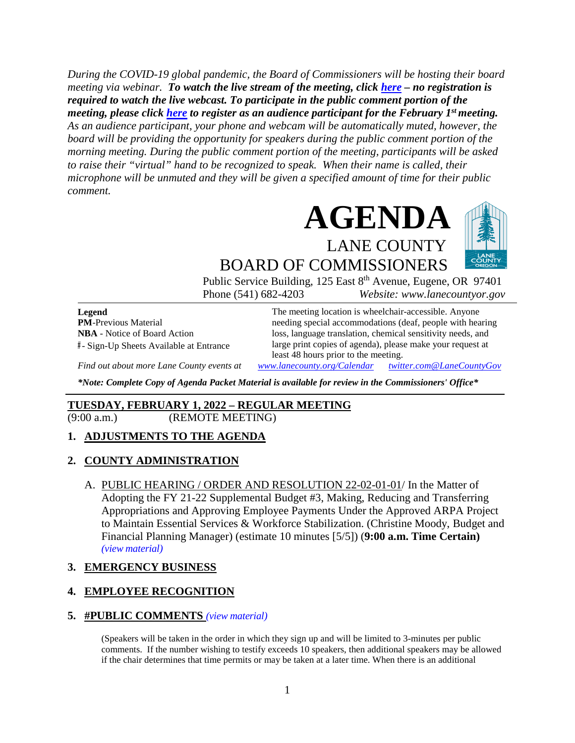*During the COVID-19 global pandemic, the Board of Commissioners will be hosting their board meeting via webinar. To watch the live stream of the meeting, click [here](https://lanecounty.org/cms/One.aspx?portalId=3585881&pageId=7842434) – no registration is required to watch the live webcast. To participate in the public comment portion of the meeting, please click [here](https://us06web.zoom.us/webinar/register/WN_JLKsdFVoR9yseOJ2MM05Pg) to register as an audience participant for the February 1st meeting. As an audience participant, your phone and webcam will be automatically muted, however, the board will be providing the opportunity for speakers during the public comment portion of the morning meeting. During the public comment portion of the meeting, participants will be asked to raise their "virtual" hand to be recognized to speak. When their name is called, their microphone will be unmuted and they will be given a specified amount of time for their public comment.* 



BOARD OF COMMISSIONERS Public Service Building, 125 East 8<sup>th</sup> Avenue, Eugene, OR 97401 Phone (541) 682-4203 *Website: www.lanecountyor.gov*

**Legend PM**-Previous Material **NBA** - Notice of Board Action **#** - Sign-Up Sheets Available at Entrance

The meeting location is wheelchair-accessible. Anyone needing special accommodations (deaf, people with hearing loss, language translation, chemical sensitivity needs, and large print copies of agenda), please make your request at least 48 hours prior to the meeting.

*Find out about more Lane County events at [www.lanecounty.org/Calendar](http://www.lanecounty.org/Calendar) [twitter.com@LaneCountyGov](https://twitter.com/lanecountygov?lang=en)*

*\*Note: Complete Copy of Agenda Packet Material is available for review in the Commissioners' Office\**

### **TUESDAY, FEBRUARY 1, 2022 – REGULAR MEETING**

(9:00 a.m.) (REMOTE MEETING)

### **1. ADJUSTMENTS TO THE AGENDA**

#### **2. COUNTY ADMINISTRATION**

A. PUBLIC HEARING / ORDER AND RESOLUTION 22-02-01-01/ In the Matter of Adopting the FY 21-22 Supplemental Budget #3, Making, Reducing and Transferring Appropriations and Approving Employee Payments Under the Approved ARPA Project to Maintain Essential Services & Workforce Stabilization. (Christine Moody, Budget and Financial Planning Manager) (estimate 10 minutes [5/5]) (**9:00 a.m. Time Certain)**  *(view [material\)](http://www.lanecountyor.gov/UserFiles/Servers/Server_3585797/File/Government/BCC/2022/2022_AGENDAS/020122agenda/T.2.A.pdf)*

#### **3. EMERGENCY BUSINESS**

### **4. EMPLOYEE RECOGNITION**

#### **5. #PUBLIC COMMENTS** *(view [material\)](http://www.lanecountyor.gov/UserFiles/Servers/Server_3585797/File/Government/BCC/2022/2022_AGENDAS/020122agenda/T.5.pdf)*

(Speakers will be taken in the order in which they sign up and will be limited to 3-minutes per public comments. If the number wishing to testify exceeds 10 speakers, then additional speakers may be allowed if the chair determines that time permits or may be taken at a later time. When there is an additional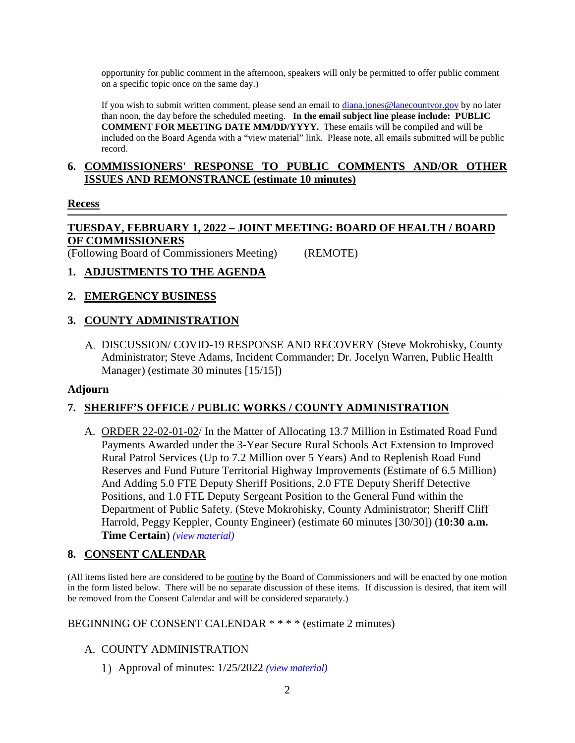opportunity for public comment in the afternoon, speakers will only be permitted to offer public comment on a specific topic once on the same day.)

If you wish to submit written comment, please send an email to [diana.jones@lanecountyor.gov](mailto:diana.jones@lanecountyor.gov) by no later than noon, the day before the scheduled meeting. **In the email subject line please include: PUBLIC COMMENT FOR MEETING DATE MM/DD/YYYY.** These emails will be compiled and will be included on the Board Agenda with a "view material" link. Please note, all emails submitted will be public record.

#### **6. COMMISSIONERS' RESPONSE TO PUBLIC COMMENTS AND/OR OTHER ISSUES AND REMONSTRANCE (estimate 10 minutes)**

### **Recess**

### **TUESDAY, FEBRUARY 1, 2022 – JOINT MEETING: BOARD OF HEALTH / BOARD OF COMMISSIONERS**

(Following Board of Commissioners Meeting) (REMOTE)

### **1. ADJUSTMENTS TO THE AGENDA**

### **2. EMERGENCY BUSINESS**

# **3. COUNTY ADMINISTRATION**

DISCUSSION/ COVID-19 RESPONSE AND RECOVERY (Steve Mokrohisky, County Administrator; Steve Adams, Incident Commander; Dr. Jocelyn Warren, Public Health Manager) (estimate 30 minutes [15/15])

#### **Adjourn**

### **7. SHERIFF'S OFFICE / PUBLIC WORKS / COUNTY ADMINISTRATION**

A. ORDER 22-02-01-02/ In the Matter of Allocating 13.7 Million in Estimated Road Fund Payments Awarded under the 3-Year Secure Rural Schools Act Extension to Improved Rural Patrol Services (Up to 7.2 Million over 5 Years) And to Replenish Road Fund Reserves and Fund Future Territorial Highway Improvements (Estimate of 6.5 Million) And Adding 5.0 FTE Deputy Sheriff Positions, 2.0 FTE Deputy Sheriff Detective Positions, and 1.0 FTE Deputy Sergeant Position to the General Fund within the Department of Public Safety. (Steve Mokrohisky, County Administrator; Sheriff Cliff Harrold, Peggy Keppler, County Engineer) (estimate 60 minutes [30/30]) (**10:30 a.m. Time Certain**) *(view [material\)](http://www.lanecountyor.gov/UserFiles/Servers/Server_3585797/File/Government/BCC/2022/2022_AGENDAS/020122agenda/T.7.A.pdf)*

### **8. CONSENT CALENDAR**

(All items listed here are considered to be routine by the Board of Commissioners and will be enacted by one motion in the form listed below. There will be no separate discussion of these items. If discussion is desired, that item will be removed from the Consent Calendar and will be considered separately.)

#### BEGINNING OF CONSENT CALENDAR \* \* \* \* (estimate 2 minutes)

# A. COUNTY ADMINISTRATION

Approval of minutes: 1/25/2022 *(view [material\)](http://www.lanecountyor.gov/UserFiles/Servers/Server_3585797/File/Government/BCC/2022/2022_AGENDAS/020122agenda/T.8.A.1.pdf)*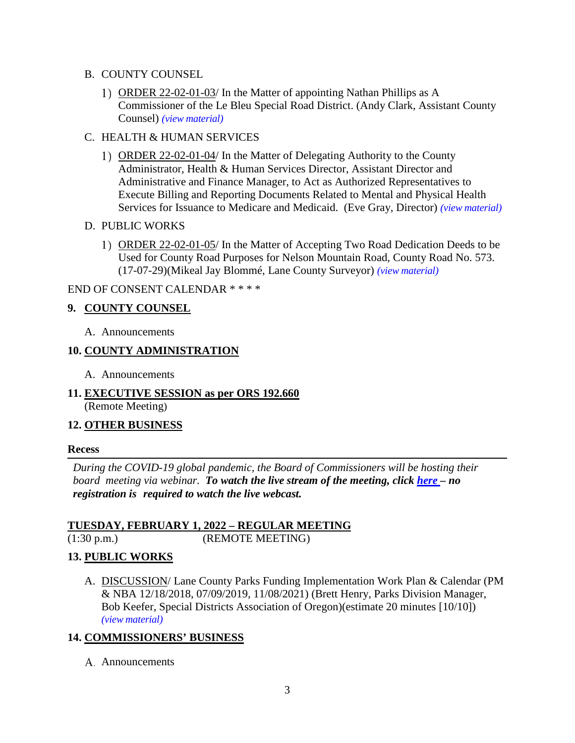- B. COUNTY COUNSEL
	- 1) ORDER 22-02-01-03/ In the Matter of appointing Nathan Phillips as A Commissioner of the Le Bleu Special Road District. (Andy Clark, Assistant County Counsel) *(view [material\)](http://www.lanecountyor.gov/UserFiles/Servers/Server_3585797/File/Government/BCC/2022/2022_AGENDAS/020122agenda/T.8.B.1.pdf)*
- C. HEALTH & HUMAN SERVICES
	- ORDER 22-02-01-04/ In the Matter of Delegating Authority to the County Administrator, Health & Human Services Director, Assistant Director and Administrative and Finance Manager, to Act as Authorized Representatives to Execute Billing and Reporting Documents Related to Mental and Physical Health Services for Issuance to Medicare and Medicaid. (Eve Gray, Director) *(view [material\)](http://www.lanecountyor.gov/UserFiles/Servers/Server_3585797/File/Government/BCC/2022/2022_AGENDAS/020122agenda/T.8.C.1.pdf)*
- D. PUBLIC WORKS
	- ORDER 22-02-01-05/ In the Matter of Accepting Two Road Dedication Deeds to be Used for County Road Purposes for Nelson Mountain Road, County Road No. 573. (17-07-29)(Mikeal Jay Blommé, Lane County Surveyor) *(view [material\)](http://www.lanecountyor.gov/UserFiles/Servers/Server_3585797/File/Government/BCC/2022/2022_AGENDAS/020122agenda/T.8.D.1.pdf)*

### END OF CONSENT CALENDAR \* \* \* \*

### **9. COUNTY COUNSEL**

A. Announcements

### **10. COUNTY ADMINISTRATION**

- A. Announcements
- **11. EXECUTIVE SESSION as per ORS 192.660** (Remote Meeting)

#### **12. OTHER BUSINESS**

#### **Recess**

*During the COVID-19 global pandemic, the Board of Commissioners will be hosting their board meeting via webinar. To watch the live stream of the meeting, click [here](https://lanecounty.org/cms/One.aspx?portalId=3585881&pageId=7842434) – no registration is required to watch the live webcast.* 

### **TUESDAY, FEBRUARY 1, 2022 – REGULAR MEETING**

(1:30 p.m.) (REMOTE MEETING)

### **13. PUBLIC WORKS**

A. DISCUSSION/ Lane County Parks Funding Implementation Work Plan & Calendar (PM & NBA 12/18/2018, 07/09/2019, 11/08/2021) (Brett Henry, Parks Division Manager, Bob Keefer, Special Districts Association of Oregon)(estimate 20 minutes [10/10]) *(view [material\)](http://www.lanecountyor.gov/UserFiles/Servers/Server_3585797/File/Government/BCC/2022/2022_AGENDAS/020122agenda/T.13.A.pdf)*

### **14. COMMISSIONERS' BUSINESS**

A. Announcements